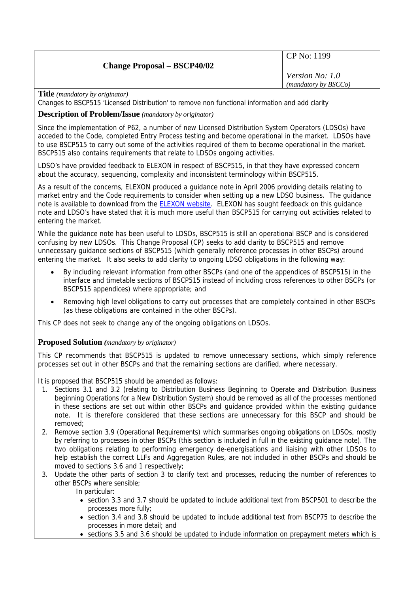# **Change Proposal – BSCP40/02**

CP No: 1199

*Version No: 1.0 (mandatory by BSCCo)*

**Title** *(mandatory by originator)* 

Changes to BSCP515 'Licensed Distribution' to remove non functional information and add clarity

# **Description of Problem/Issue** *(mandatory by originator)*

Since the implementation of P62, a number of new Licensed Distribution System Operators (LDSOs) have acceded to the Code, completed Entry Process testing and become operational in the market. LDSOs have to use BSCP515 to carry out some of the activities required of them to become operational in the market. BSCP515 also contains requirements that relate to LDSOs ongoing activities.

LDSO's have provided feedback to ELEXON in respect of BSCP515, in that they have expressed concern about the accuracy, sequencing, complexity and inconsistent terminology within BSCP515.

As a result of the concerns, ELEXON produced a guidance note in April 2006 providing details relating to market entry and the Code requirements to consider when setting up a new LDSO business. The guidance note is available to download from the [ELEXON website.](http://www.elexon.co.uk/documents/Publications/Guidance_Notes_-_Operating_within_the_BSC_Arrangements,_Market_Entry_and_Exit_/LDSO_Guidance_Note.pdf) ELEXON has sought feedback on this guidance note and LDSO's have stated that it is much more useful than BSCP515 for carrying out activities related to entering the market.

While the guidance note has been useful to LDSOs, BSCP515 is still an operational BSCP and is considered confusing by new LDSOs. This Change Proposal (CP) seeks to add clarity to BSCP515 and remove unnecessary guidance sections of BSCP515 (which generally reference processes in other BSCPs) around entering the market. It also seeks to add clarity to ongoing LDSO obligations in the following way:

- By including relevant information from other BSCPs (and one of the appendices of BSCP515) in the interface and timetable sections of BSCP515 instead of including cross references to other BSCPs (or BSCP515 appendices) where appropriate; and
- Removing high level obligations to carry out processes that are completely contained in other BSCPs (as these obligations are contained in the other BSCPs).

This CP does not seek to change any of the ongoing obligations on LDSOs.

#### **Proposed Solution** *(mandatory by originator)*

This CP recommends that BSCP515 is updated to remove unnecessary sections, which simply reference processes set out in other BSCPs and that the remaining sections are clarified, where necessary.

It is proposed that BSCP515 should be amended as follows:

- 1. Sections 3.1 and 3.2 (relating to Distribution Business Beginning to Operate and Distribution Business beginning Operations for a New Distribution System) should be removed as all of the processes mentioned in these sections are set out within other BSCPs and guidance provided within the existing guidance note. It is therefore considered that these sections are unnecessary for this BSCP and should be removed;
- 2. Remove section 3.9 (Operational Requirements) which summarises ongoing obligations on LDSOs, mostly by referring to processes in other BSCPs (this section is included in full in the existing guidance note). The two obligations relating to performing emergency de-energisations and liaising with other LDSOs to help establish the correct LLFs and Aggregation Rules, are not included in other BSCPs and should be moved to sections 3.6 and 1 respectively;
- 3. Update the other parts of section 3 to clarify text and processes, reducing the number of references to other BSCPs where sensible;

In particular:

- section 3.3 and 3.7 should be updated to include additional text from BSCP501 to describe the processes more fully;
- section 3.4 and 3.8 should be updated to include additional text from BSCP75 to describe the processes in more detail; and
- sections 3.5 and 3.6 should be updated to include information on prepayment meters which is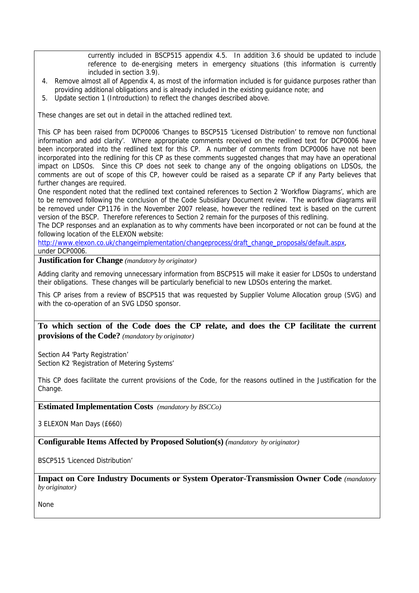currently included in BSCP515 appendix 4.5. In addition 3.6 should be updated to include reference to de-energising meters in emergency situations (this information is currently included in section 3.9).

- 4. Remove almost all of Appendix 4, as most of the information included is for guidance purposes rather than providing additional obligations and is already included in the existing guidance note; and
- 5. Update section 1 (Introduction) to reflect the changes described above.

These changes are set out in detail in the attached redlined text.

This CP has been raised from DCP0006 'Changes to BSCP515 'Licensed Distribution' to remove non functional information and add clarity'. Where appropriate comments received on the redlined text for DCP0006 have been incorporated into the redlined text for this CP. A number of comments from DCP0006 have not been incorporated into the redlining for this CP as these comments suggested changes that may have an operational impact on LDSOs. Since this CP does not seek to change any of the ongoing obligations on LDSOs, the comments are out of scope of this CP, however could be raised as a separate CP if any Party believes that further changes are required.

One respondent noted that the redlined text contained references to Section 2 'Workflow Diagrams', which are to be removed following the conclusion of the Code Subsidiary Document review. The workflow diagrams will be removed under CP1176 in the November 2007 release, however the redlined text is based on the current version of the BSCP. Therefore references to Section 2 remain for the purposes of this redlining.

The DCP responses and an explanation as to why comments have been incorporated or not can be found at the following location of the ELEXON website:

[http://www.elexon.co.uk/changeimplementation/changeprocess/draft\\_change\\_proposals/default.aspx](http://www.elexon.co.uk/changeimplementation/changeprocess/draft_change_proposals/default.aspx), under DCP0006.

**Justification for Change** *(mandatory by originator)* 

Adding clarity and removing unnecessary information from BSCP515 will make it easier for LDSOs to understand their obligations. These changes will be particularly beneficial to new LDSOs entering the market.

This CP arises from a review of BSCP515 that was requested by Supplier Volume Allocation group (SVG) and with the co-operation of an SVG LDSO sponsor.

## **To which section of the Code does the CP relate, and does the CP facilitate the current provisions of the Code?** *(mandatory by originator)*

Section A4 'Party Registration' Section K2 'Registration of Metering Systems'

This CP does facilitate the current provisions of the Code, for the reasons outlined in the Justification for the Change.

**Estimated Implementation Costs** *(mandatory by BSCCo)* 

3 ELEXON Man Days (£660)

**Configurable Items Affected by Proposed Solution(s)** *(mandatory by originator)* 

BSCP515 'Licenced Distribution'

**Impact on Core Industry Documents or System Operator-Transmission Owner Code** *(mandatory by originator)* 

None